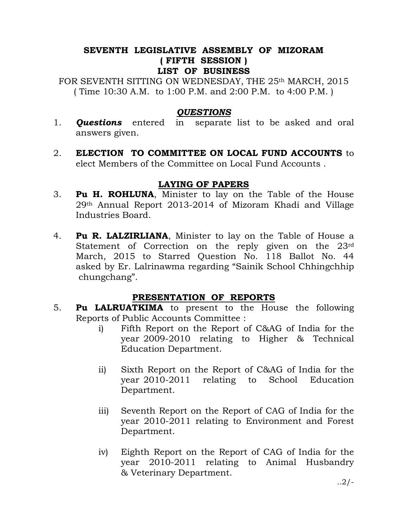#### SEVENTH LEGISLATIVE ASSEMBLY OF MIZORAM ( FIFTH SESSION ) LIST OF BUSINESS

FOR SEVENTH SITTING ON WEDNESDAY, THE 25<sup>th</sup> MARCH, 2015 ( Time 10:30 A.M. to 1:00 P.M. and 2:00 P.M. to 4:00 P.M. )

## **OUESTIONS**

- 1. **Questions** entered in separate list to be asked and oral answers given.
- 2. ELECTION TO COMMITTEE ON LOCAL FUND ACCOUNTS to elect Members of the Committee on Local Fund Accounts .

## LAYING OF PAPERS

- 3. Pu H. ROHLUNA, Minister to lay on the Table of the House 29th Annual Report 2013-2014 of Mizoram Khadi and Village Industries Board.
- 4. Pu R. LALZIRLIANA, Minister to lay on the Table of House a Statement of Correction on the reply given on the 23rd March, 2015 to Starred Question No. 118 Ballot No. 44 asked by Er. Lalrinawma regarding "Sainik School Chhingchhip chungchang".

# PRESENTATION OF REPORTS

- 5. **Pu LALRUATKIMA** to present to the House the following Reports of Public Accounts Committee :
	- i) Fifth Report on the Report of C&AG of India for the year 2009-2010 relating to Higher & Technical Education Department.
	- ii) Sixth Report on the Report of C&AG of India for the year 2010-2011 relating to School Education Department.
	- iii) Seventh Report on the Report of CAG of India for the year 2010-2011 relating to Environment and Forest Department.
	- iv) Eighth Report on the Report of CAG of India for the year 2010-2011 relating to Animal Husbandry & Veterinary Department.